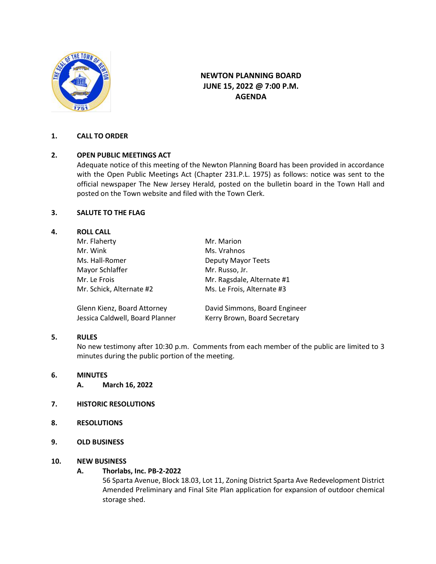

# **NEWTON PLANNING BOARD JUNE 15, 2022 @ 7:00 P.M. AGENDA**

## **1. CALL TO ORDER**

## **2. OPEN PUBLIC MEETINGS ACT**

Adequate notice of this meeting of the Newton Planning Board has been provided in accordance with the Open Public Meetings Act (Chapter 231.P.L. 1975) as follows: notice was sent to the official newspaper The New Jersey Herald, posted on the bulletin board in the Town Hall and posted on the Town website and filed with the Town Clerk.

## **3. SALUTE TO THE FLAG**

## **4. ROLL CALL**

| Mr. Flaherty<br>Mr. Wink<br>Ms. Hall-Romer | Mr. Marion<br>Ms. Vrahnos<br>Deputy Mayor Teets |                 |                            |
|--------------------------------------------|-------------------------------------------------|-----------------|----------------------------|
|                                            |                                                 | Mayor Schlaffer | Mr. Russo, Jr.             |
|                                            |                                                 | Mr. Le Frois    | Mr. Ragsdale, Alternate #1 |
| Mr. Schick, Alternate #2                   | Ms. Le Frois, Alternate #3                      |                 |                            |
| Glenn Kienz, Board Attorney                | David Simmons, Board Engineer                   |                 |                            |
| Jessica Caldwell, Board Planner            | Kerry Brown, Board Secretary                    |                 |                            |

## **5. RULES**

No new testimony after 10:30 p.m. Comments from each member of the public are limited to 3 minutes during the public portion of the meeting.

- **6. MINUTES** 
	- **A. March 16, 2022**
- **7. HISTORIC RESOLUTIONS**
- **8. RESOLUTIONS**
- **9. OLD BUSINESS**

## **10. NEW BUSINESS**

## **A. Thorlabs, Inc. PB-2-2022**

56 Sparta Avenue, Block 18.03, Lot 11, Zoning District Sparta Ave Redevelopment District Amended Preliminary and Final Site Plan application for expansion of outdoor chemical storage shed.